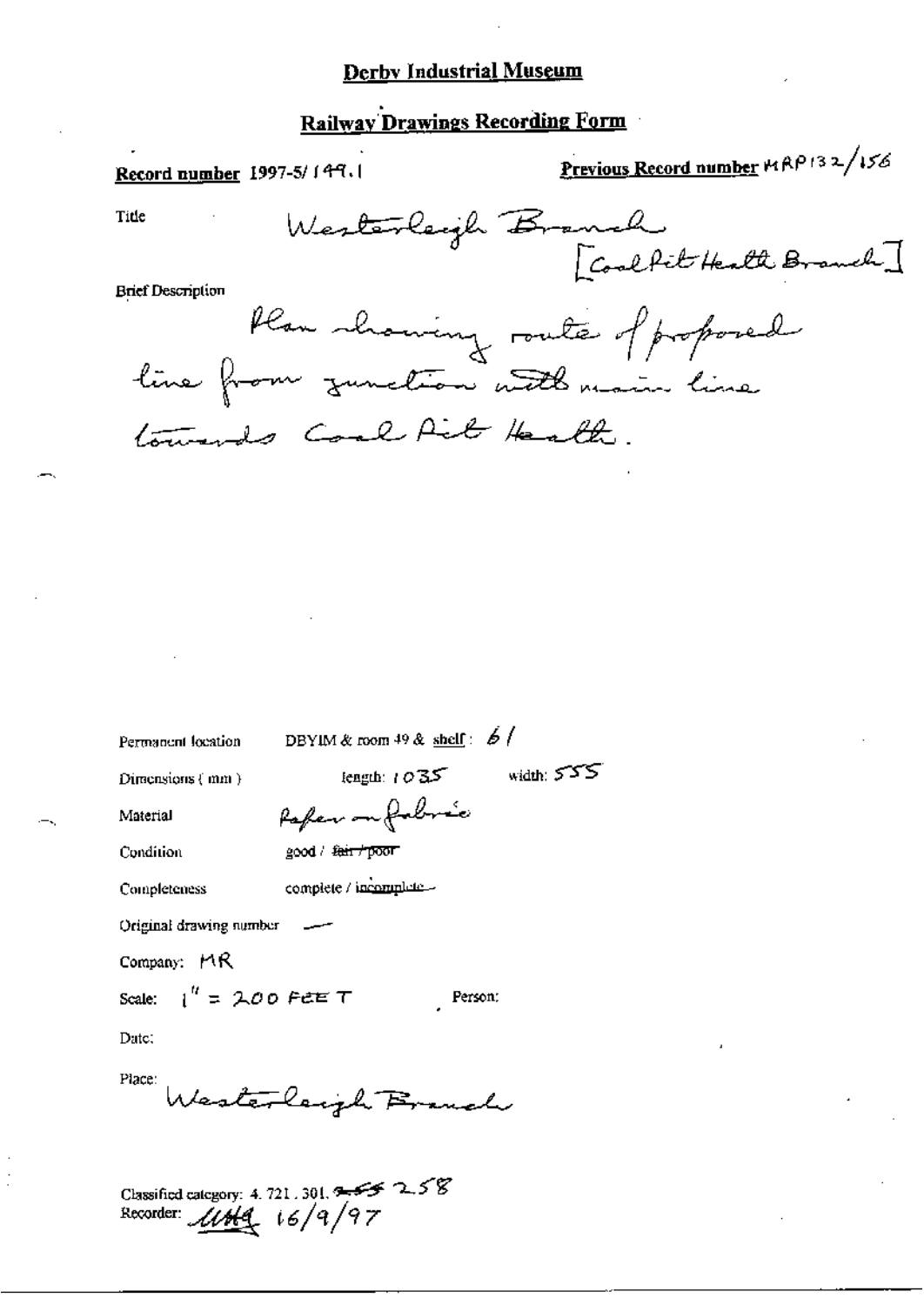## **Derby Industrial Museum**

### **Railway Drawings Recording Form**

Previous Record number 14 RP 132/156 Record number 1997-5/149.1 Westerleigh Branch<br>[Coalfit Health Branch] Title **Brief Description** 

Plan showing route of proposed line from zunction with main line towards Coal Ail Health.

Permanent location

DBYIM & room 49 & shelf:  $\frac{6}{7}$ 

Refer on forborne

complete / incomplete.

Direcusions  ${mn}$ )

length:  $1035$  width:  $555$ 

Person:

Condition

Material

good / fair / poor

Completeness

Original drawing number

Company:  $MR$ 

Scale:  $1'' = 200$  Peter T

Date:

Place: Westerlaugh Branch

Classified category: 4.721.301.  $355$  2.58<br>Recorder:  $\mathcal{U}$  Hq  $(6/9/97)$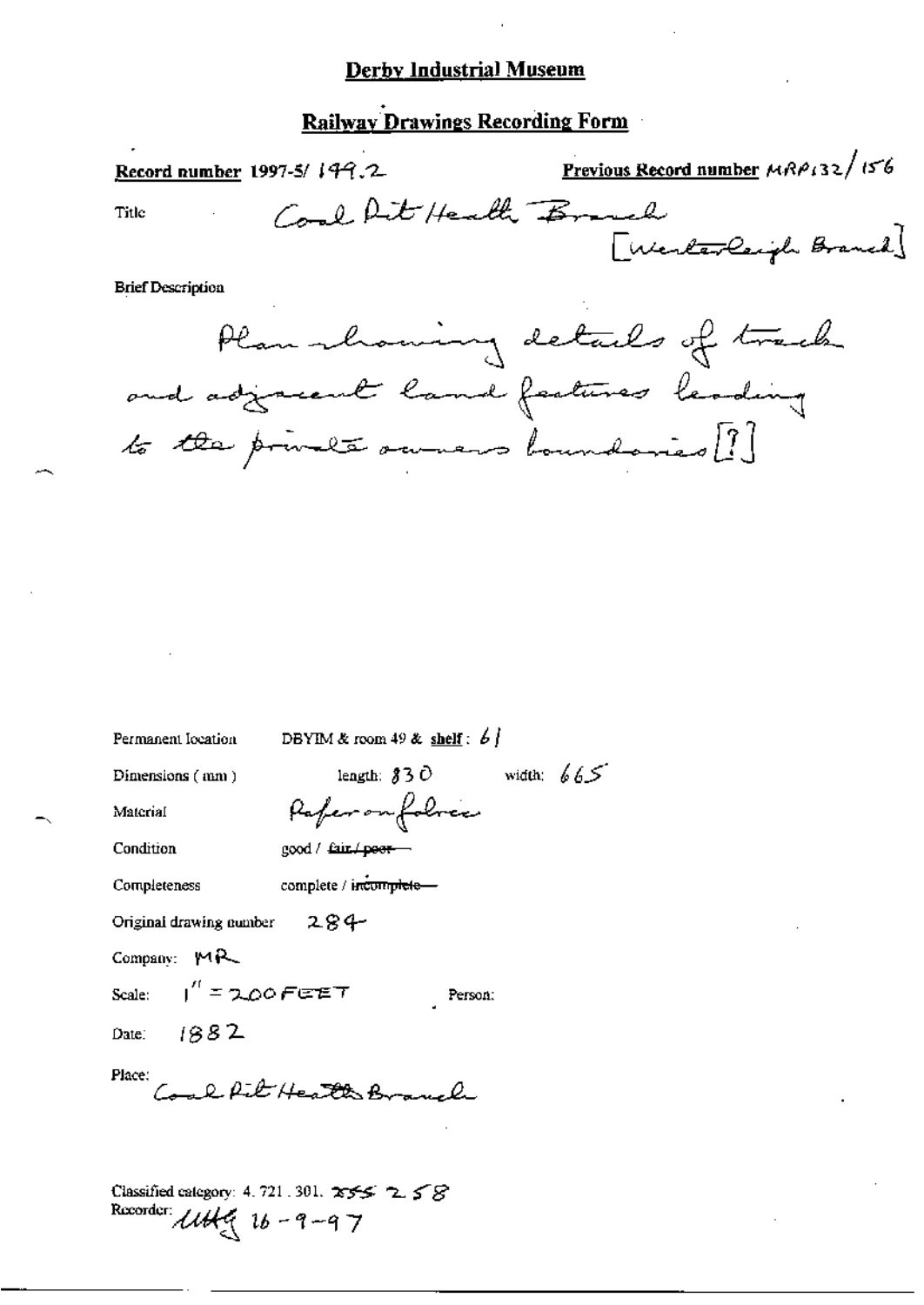# Derby Industrial Museum

# Railway Drawings Recording Form

| <u>Record number</u> 1997-5/149.2                                                                           | Previous Record number MRP132/156 |
|-------------------------------------------------------------------------------------------------------------|-----------------------------------|
| Coal Rit Health Branch<br>Title                                                                             | [Werterlaugh Branch]              |
| <b>Brief Description</b>                                                                                    |                                   |
| Plan showing details of track<br>and adjacent land features leading<br>to the private owners boundaries [?] |                                   |

| Permanent Iocation             | DBYIM & room $49$ & shelf: $6$ $\frac{1}{2}$ |
|--------------------------------|----------------------------------------------|
| Dimensions (mm)                | length: $830$ width: $665$                   |
| Material                       | Paferonfolocco                               |
| Condition                      | good / fair./peer-                           |
| Completeness                   | complete / incomplete-                       |
| Original drawing number $284-$ |                                              |
| Company: $MA$                  |                                              |
| Scale: $I'' = 2.00$ FEET       | Person:                                      |
| Date: $1882$                   |                                              |
| Place:                         | Come R. R. E. Health Branch                  |
|                                |                                              |
| Recorder: $16 - 9 - 97$        | Classified category: 4.721.301. $255 - 255$  |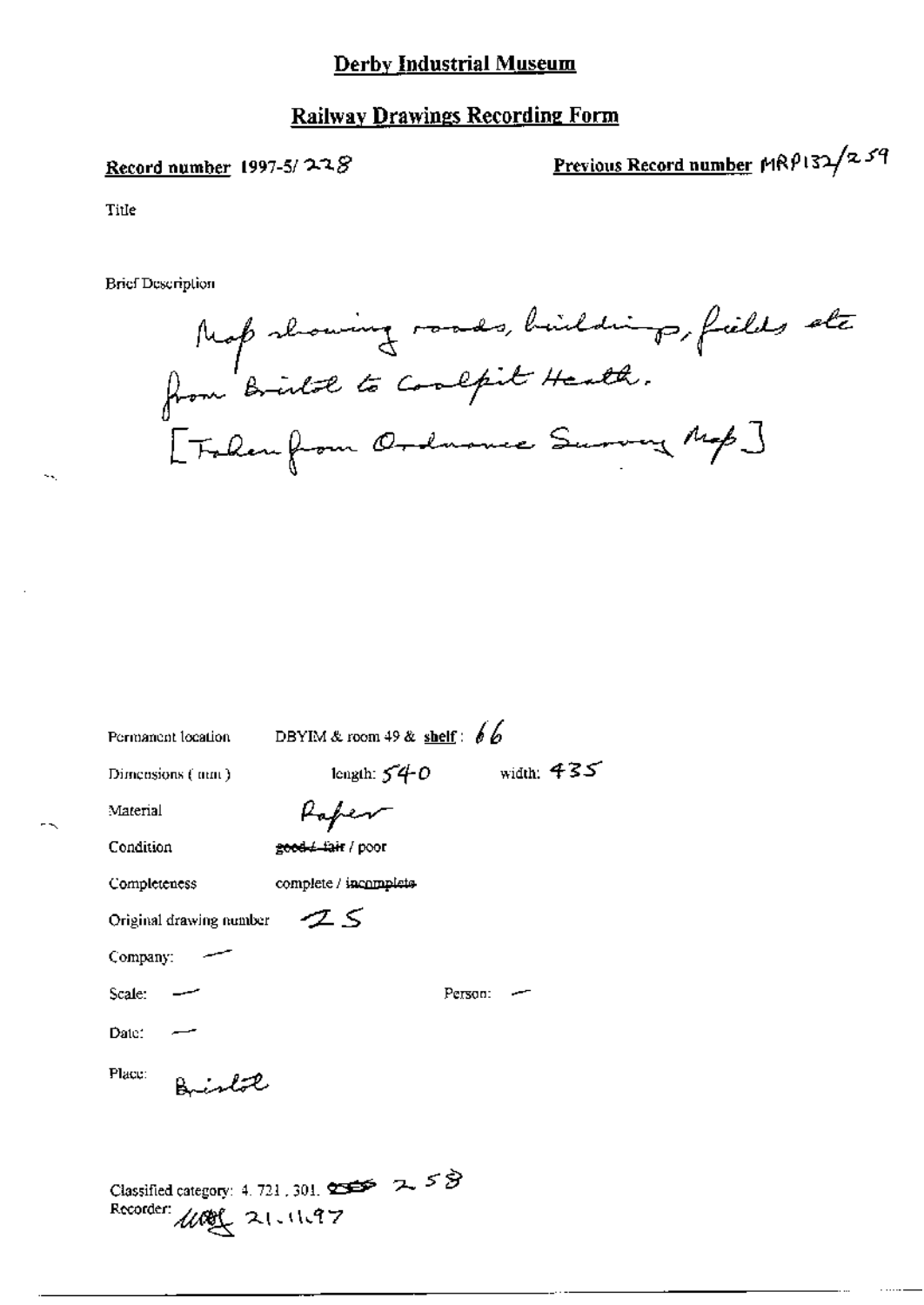# Derby Industrial Museum

# **Railway Drawings Recording Form**

#### Record number 1997-5/ $228$

Previous Record number MRP132/259

Title

 $\sim$ 

**Brief Description** 

Map showing roads, buildings, fields ste [Follen from Ordnonce Survey Map]

| Permanent location                                                                                | DBYIM & room 49 & shelf: $66$ |              |  |
|---------------------------------------------------------------------------------------------------|-------------------------------|--------------|--|
| Dimensions (mm)                                                                                   | length: $540$                 | width: $435$ |  |
| Material                                                                                          | Poper                         |              |  |
| Condition                                                                                         | <del>good / fair</del> / poor |              |  |
| Completeness                                                                                      | complete / incomplete         |              |  |
| Original drawing number                                                                           | ZS                            |              |  |
| Company:                                                                                          |                               |              |  |
| Scale:                                                                                            |                               | Person:      |  |
| Date:                                                                                             |                               |              |  |
| Place:<br>Bislat                                                                                  |                               |              |  |
| Classified category: 4, 721, 301, $\sum$ $\sum$ $\sum$ $\sum$ $\sum$<br>Recorder:<br>100 21.11.97 |                               |              |  |